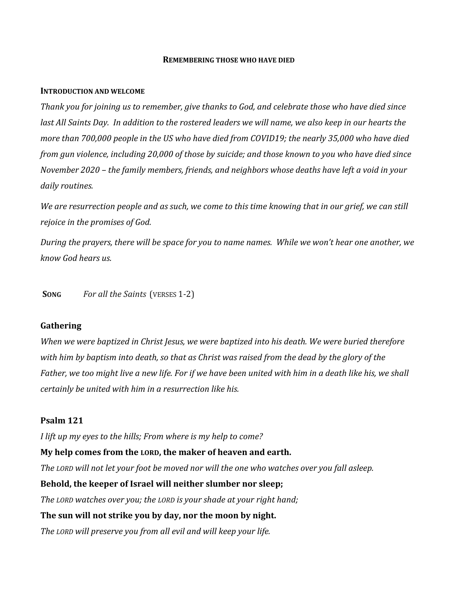#### **REMEMBERING THOSE WHO HAVE DIED**

#### **INTRODUCTION AND WELCOME**

*Thank you for joining us to remember, give thanks to God, and celebrate those who have died since* last All Saints Day. In addition to the rostered leaders we will name, we also keep in our hearts the *more than 700,000 people in the US who have died from COVID19; the nearly 35,000 who have died* from gun violence, including 20,000 of those by suicide; and those known to you who have died since *November 2020 – the family members, friends, and neighbors whose deaths have left a void in your* daily *routines*.

We are resurrection people and as such, we come to this time knowing that in our grief, we can still *rejoice in the promises of God.* 

During the prayers, there will be space for you to name names. While we won't hear one another, we *know God hears us.* 

**SONG** For all the Saints (VERSES 1-2)

## **Gathering**

*When we were baptized in Christ Jesus, we were baptized into his death. We were buried therefore* with him by baptism into death, so that as Christ was raised from the dead by the glory of the Father, we too might live a new life. For if we have been united with him in a death like his, we shall *certainly be united with him in a resurrection like his.*

## **Psalm 121**

*I lift up my eyes to the hills; From where is my help to come?*

### **My help comes from the LORD, the maker of heaven and earth.**

*The LORD will not let your foot be moved nor will the one who watches over you fall asleep.*

### **Behold, the keeper of Israel will neither slumber nor sleep;**

*The LORD watches over you; the LORD is your shade at your right hand;*

## **The sun will not strike you by day, nor the moon by night.**

*The LORD will preserve you from all evil and will keep your life.*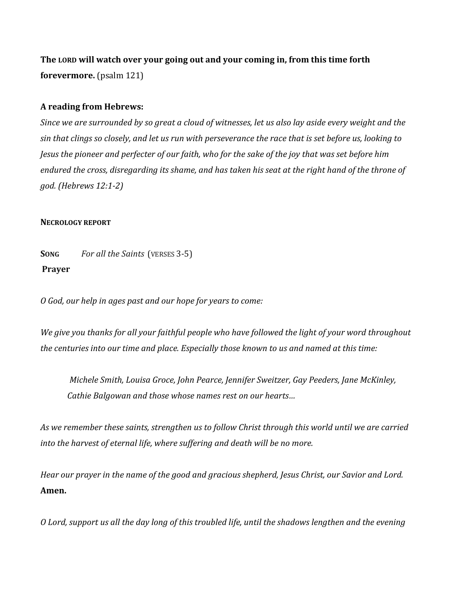**The LORD will watch over your going out and your coming in, from this time forth forevermore.** (psalm 121)

# **A reading from Hebrews:**

Since we are surrounded by so great a cloud of witnesses, let us also lay aside every weight and the sin that clings so closely, and let us run with perseverance the race that is set before us, looking to Jesus the pioneer and perfecter of our faith, who for the sake of the joy that was set before him endured the cross, disregarding its shame, and has taken his seat at the right hand of the throne of *god. (Hebrews 12:1‐2)*

# **NECROLOGY REPORT**

**SONG** For all the Saints (VERSES 3-5) **Prayer** 

*O God, our help in ages past and our hope for years to come:*

We give you thanks for all your faithful people who have followed the light of your word throughout *the centuries into our time and place. Especially those known to us and named at this time:* 

*Michele Smith, Louisa Groce, John Pearce, Jennifer Sweitzer, Gay Peeders, Jane McKinley, Cathie Balgowan and those whose names rest on our hearts…*

*As we remember these saints, strengthen us to follow Christ through this world until we are carried into the harvest of eternal life, where suffering and death will be no more.* 

*Hear our prayer in the name of the good and gracious shepherd, Jesus Christ, our Savior and Lord.* **Amen.**

O Lord, support us all the day long of this troubled life, until the shadows lengthen and the evening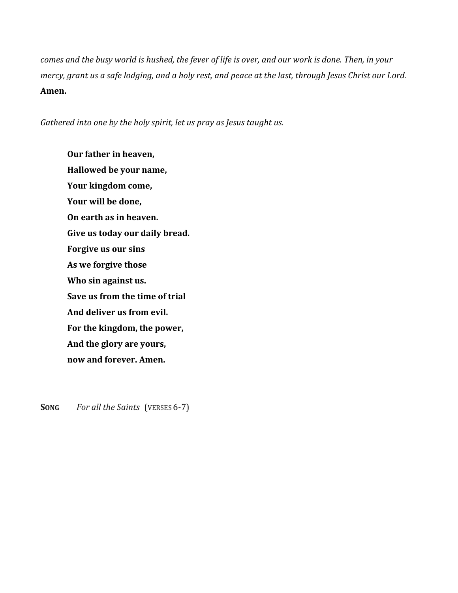comes and the busy world is hushed, the fever of life is over, and our work is done. Then, in your mercy, grant us a safe lodging, and a holy rest, and peace at the last, through Jesus Christ our Lord. **Amen.**

*Gathered into one by the holy spirit, let us pray as Jesus taught us.*

**Our father in heaven, Hallowed be your name, Your kingdom come, Your will be done, On earth as in heaven. Give us today our daily bread. Forgive us our sins As we forgive those Who sin against us. Save us from the time of trial And deliver us from evil. For the kingdom, the power, And the glory are yours, now and forever. Amen.**

**SONG** For all the Saints (VERSES 6-7)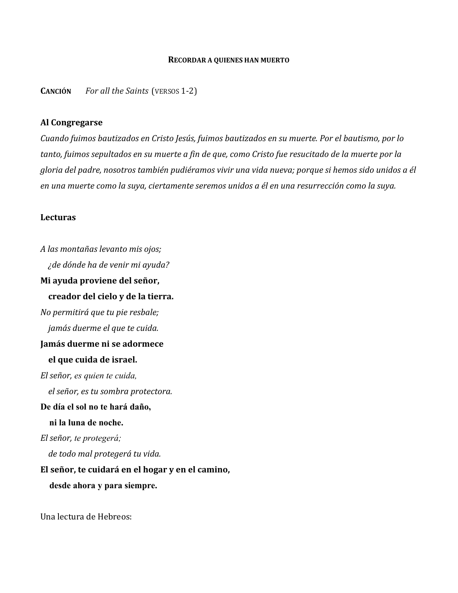#### **RECORDAR A QUIENES HAN MUERTO**

**CANCIÓN** *For all the Saints*(VERSOS 1-2)

## **Al Congregarse**

*Cuando fuimos bautizados en Cristo Jesús, fuimos bautizados en su muerte. Por el bautismo, por lo* tanto, fuimos sepultados en su muerte a fin de que, como Cristo fue resucitado de la muerte por la *gloria del padre, nosotros también pudiéramos vivir una vida nueva; porque si hemos sido unidos a él en una muerte como la suya, ciertamente seremos unidos a él en una resurrección como la suya.* 

### **Lecturas**

*A las montañas levanto mis ojos; ¿de dónde ha de venir mi ayuda?* **Mi ayuda proviene del señor, creador del cielo y de la tierra.** *No permitirá que tu pie resbale; jamás duerme el que te cuida.* **Jamás duerme ni se adormece el que cuida de israel.** *El señor, es quien te cuida, el señor, es tu sombra protectora.* **De día el sol no te hará daño, ni la luna de noche.**  *El señor, te protegerá; de todo mal protegerá tu vida.* **El señor, te cuidará en el hogar y en el camino, desde ahora y para siempre.** 

Una lectura de Hebreos: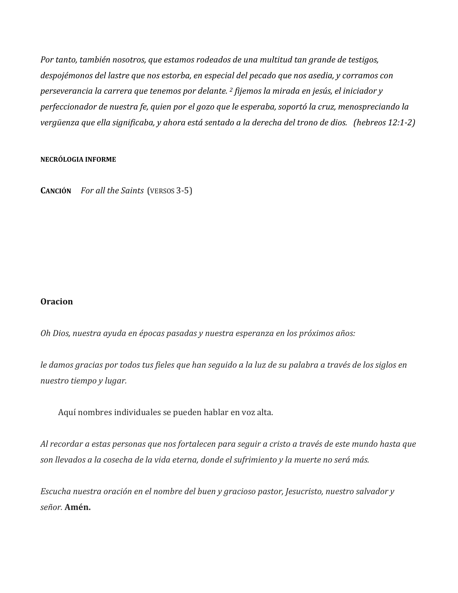*Por tanto, también nosotros, que estamos rodeados de una multitud tan grande de testigos, despojémonos del lastre que nos estorba, en especial del pecado que nos asedia, y corramos con perseverancia la carrera que tenemos por delante. <sup>2</sup> fijemos la mirada en jesús, el iniciador y perfeccionador de nuestra fe, quien por el gozo que le esperaba, soportó la cruz, menospreciando la* vergüenza que ella significaba, y ahora está sentado a la derecha del trono de dios. (hebreos 12:1-2)

## **NECRÓLOGIA INFORME**

**CANCIÓN** *For all the Saints*(VERSOS 3-5)

# **Oracion**

*Oh Dios, nuestra ayuda en épocas pasadas y nuestra esperanza en los próximos años:*

le damos gracias por todos tus fieles que han seguido a la luz de su palabra a través de los siglos en *nuestro tiempo y lugar.*

Aquí nombres individuales se pueden hablar en voz alta.

Al recordar a estas personas que nos fortalecen para seguir a cristo a través de este mundo hasta que *son llevados a la cosecha de la vida eterna, donde el sufrimiento y la muerte no será más.*

*Escucha nuestra oración en el nombre del buen y gracioso pastor, Jesucristo, nuestro salvador y señor.* **Amén.**